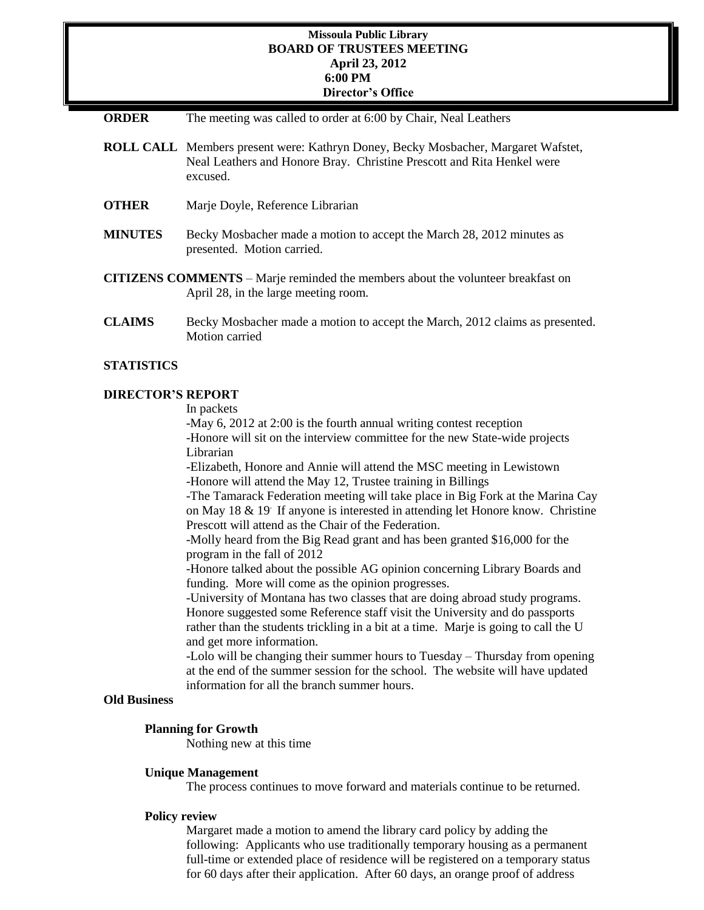## **Missoula Public Library BOARD OF TRUSTEES MEETING April 23, 2012 6:00 PM Director's Office**

- **ORDER** The meeting was called to order at 6:00 by Chair, Neal Leathers
- **ROLL CALL** Members present were: Kathryn Doney, Becky Mosbacher, Margaret Wafstet, Neal Leathers and Honore Bray. Christine Prescott and Rita Henkel were excused.
- **OTHER** Marje Doyle, Reference Librarian
- **MINUTES** Becky Mosbacher made a motion to accept the March 28, 2012 minutes as presented. Motion carried.
- **CITIZENS COMMENTS**  Marje reminded the members about the volunteer breakfast on April 28, in the large meeting room.
- **CLAIMS** Becky Mosbacher made a motion to accept the March, 2012 claims as presented. Motion carried

### **STATISTICS**

# **DIRECTOR'S REPORT**

In packets

-May 6, 2012 at 2:00 is the fourth annual writing contest reception -Honore will sit on the interview committee for the new State-wide projects Librarian

-Elizabeth, Honore and Annie will attend the MSC meeting in Lewistown -Honore will attend the May 12, Trustee training in Billings

-The Tamarack Federation meeting will take place in Big Fork at the Marina Cay on May 18 & 19. If anyone is interested in attending let Honore know. Christine Prescott will attend as the Chair of the Federation.

-Molly heard from the Big Read grant and has been granted \$16,000 for the program in the fall of 2012

-Honore talked about the possible AG opinion concerning Library Boards and funding. More will come as the opinion progresses.

-University of Montana has two classes that are doing abroad study programs. Honore suggested some Reference staff visit the University and do passports rather than the students trickling in a bit at a time. Marje is going to call the U and get more information.

-Lolo will be changing their summer hours to Tuesday – Thursday from opening at the end of the summer session for the school. The website will have updated information for all the branch summer hours.

### **Old Business**

#### **Planning for Growth**

Nothing new at this time

#### **Unique Management**

The process continues to move forward and materials continue to be returned.

#### **Policy review**

Margaret made a motion to amend the library card policy by adding the following: Applicants who use traditionally temporary housing as a permanent full-time or extended place of residence will be registered on a temporary status for 60 days after their application. After 60 days, an orange proof of address